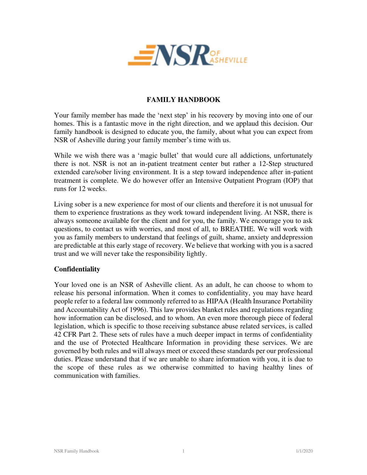

# **FAMILY HANDBOOK**

Your family member has made the 'next step' in his recovery by moving into one of our homes. This is a fantastic move in the right direction, and we applaud this decision. Our family handbook is designed to educate you, the family, about what you can expect from NSR of Asheville during your family member's time with us.

While we wish there was a 'magic bullet' that would cure all addictions, unfortunately there is not. NSR is not an in-patient treatment center but rather a 12-Step structured extended care/sober living environment. It is a step toward independence after in-patient treatment is complete. We do however offer an Intensive Outpatient Program (IOP) that runs for 12 weeks.

Living sober is a new experience for most of our clients and therefore it is not unusual for them to experience frustrations as they work toward independent living. At NSR, there is always someone available for the client and for you, the family. We encourage you to ask questions, to contact us with worries, and most of all, to BREATHE. We will work with you as family members to understand that feelings of guilt, shame, anxiety and depression are predictable at this early stage of recovery. We believe that working with you is a sacred trust and we will never take the responsibility lightly.

#### **Confidentiality**

Your loved one is an NSR of Asheville client. As an adult, he can choose to whom to release his personal information. When it comes to confidentiality, you may have heard people refer to a federal law commonly referred to as HIPAA (Health Insurance Portability and Accountability Act of 1996). This law provides blanket rules and regulations regarding how information can be disclosed, and to whom. An even more thorough piece of federal legislation, which is specific to those receiving substance abuse related services, is called 42 CFR Part 2. These sets of rules have a much deeper impact in terms of confidentiality and the use of Protected Healthcare Information in providing these services. We are governed by both rules and will always meet or exceed these standards per our professional duties. Please understand that if we are unable to share information with you, it is due to the scope of these rules as we otherwise committed to having healthy lines of communication with families.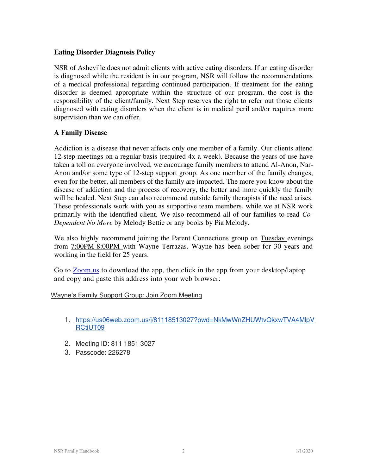#### **Eating Disorder Diagnosis Policy**

NSR of Asheville does not admit clients with active eating disorders. If an eating disorder is diagnosed while the resident is in our program, NSR will follow the recommendations of a medical professional regarding continued participation. If treatment for the eating disorder is deemed appropriate within the structure of our program, the cost is the responsibility of the client/family. Next Step reserves the right to refer out those clients diagnosed with eating disorders when the client is in medical peril and/or requires more supervision than we can offer.

## **A Family Disease**

Addiction is a disease that never affects only one member of a family. Our clients attend 12-step meetings on a regular basis (required 4x a week). Because the years of use have taken a toll on everyone involved, we encourage family members to attend Al-Anon, Nar-Anon and/or some type of 12-step support group. As one member of the family changes, even for the better, all members of the family are impacted. The more you know about the disease of addiction and the process of recovery, the better and more quickly the family will be healed. Next Step can also recommend outside family therapists if the need arises. These professionals work with you as supportive team members, while we at NSR work primarily with the identified client. We also recommend all of our families to read *Co-Dependent No More* by Melody Bettie or any books by Pia Melody.

We also highly recommend joining the Parent Connections group on Tuesday evenings from 7:00PM-8:00PM with Wayne Terrazas. Wayne has been sober for 30 years and working in the field for 25 years.

Go to [Zoom.us t](http://www.zoom.us/)o download the app, then click in the app from your desktop/laptop and copy and paste this address into your web browser:

#### Wayne's Family Support Group: Join Zoom Meeting

- 1. [https://us06web.zoom.us/j/81118513027?pwd=NkMwWnZHUWtvQkxwTVA4MlpV](https://us06web.zoom.us/j/81118513027?pwd=NkMwWnZHUWtvQkxwTVA4MlpVRCtiUT09) [RCtiUT09](https://us06web.zoom.us/j/81118513027?pwd=NkMwWnZHUWtvQkxwTVA4MlpVRCtiUT09)
- 2. Meeting ID: 811 1851 3027
- 3. Passcode: 226278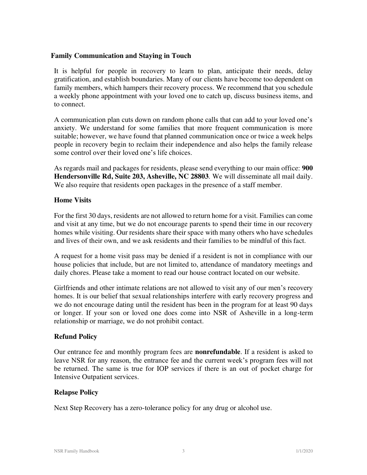#### **Family Communication and Staying in Touch**

It is helpful for people in recovery to learn to plan, anticipate their needs, delay gratification, and establish boundaries. Many of our clients have become too dependent on family members, which hampers their recovery process. We recommend that you schedule a weekly phone appointment with your loved one to catch up, discuss business items, and to connect.

A communication plan cuts down on random phone calls that can add to your loved one's anxiety. We understand for some families that more frequent communication is more suitable; however, we have found that planned communication once or twice a week helps people in recovery begin to reclaim their independence and also helps the family release some control over their loved one's life choices.

As regards mail and packages for residents, please send everything to our main office: **900 Hendersonville Rd, Suite 203, Asheville, NC 28803***.* We will disseminate all mail daily. We also require that residents open packages in the presence of a staff member.

## **Home Visits**

For the first 30 days, residents are not allowed to return home for a visit. Families can come and visit at any time, but we do not encourage parents to spend their time in our recovery homes while visiting. Our residents share their space with many others who have schedules and lives of their own, and we ask residents and their families to be mindful of this fact.

A request for a home visit pass may be denied if a resident is not in compliance with our house policies that include, but are not limited to, attendance of mandatory meetings and daily chores. Please take a moment to read our house contract located on our website.

Girlfriends and other intimate relations are not allowed to visit any of our men's recovery homes. It is our belief that sexual relationships interfere with early recovery progress and we do not encourage dating until the resident has been in the program for at least 90 days or longer. If your son or loved one does come into NSR of Asheville in a long-term relationship or marriage, we do not prohibit contact.

# **Refund Policy**

Our entrance fee and monthly program fees are **nonrefundable**. If a resident is asked to leave NSR for any reason, the entrance fee and the current week's program fees will not be returned. The same is true for IOP services if there is an out of pocket charge for Intensive Outpatient services.

#### **Relapse Policy**

Next Step Recovery has a zero-tolerance policy for any drug or alcohol use.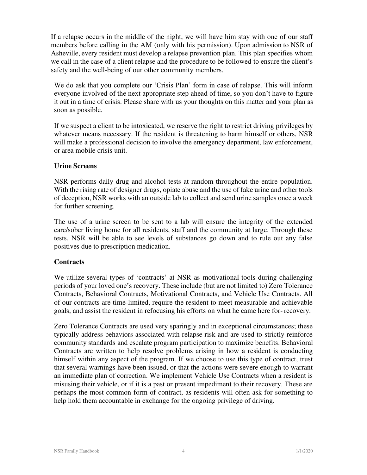If a relapse occurs in the middle of the night, we will have him stay with one of our staff members before calling in the AM (only with his permission). Upon admission to NSR of Asheville, every resident must develop a relapse prevention plan. This plan specifies whom we call in the case of a client relapse and the procedure to be followed to ensure the client's safety and the well-being of our other community members.

We do ask that you complete our 'Crisis Plan' form in case of relapse. This will inform everyone involved of the next appropriate step ahead of time, so you don't have to figure it out in a time of crisis. Please share with us your thoughts on this matter and your plan as soon as possible.

If we suspect a client to be intoxicated, we reserve the right to restrict driving privileges by whatever means necessary. If the resident is threatening to harm himself or others, NSR will make a professional decision to involve the emergency department, law enforcement, or area mobile crisis unit.

#### **Urine Screens**

NSR performs daily drug and alcohol tests at random throughout the entire population. With the rising rate of designer drugs, opiate abuse and the use of fake urine and other tools of deception, NSR works with an outside lab to collect and send urine samples once a week for further screening.

The use of a urine screen to be sent to a lab will ensure the integrity of the extended care/sober living home for all residents, staff and the community at large. Through these tests, NSR will be able to see levels of substances go down and to rule out any false positives due to prescription medication.

#### **Contracts**

We utilize several types of 'contracts' at NSR as motivational tools during challenging periods of your loved one's recovery. These include (but are not limited to) Zero Tolerance Contracts, Behavioral Contracts, Motivational Contracts, and Vehicle Use Contracts. All of our contracts are time-limited, require the resident to meet measurable and achievable goals, and assist the resident in refocusing his efforts on what he came here for- recovery.

Zero Tolerance Contracts are used very sparingly and in exceptional circumstances; these typically address behaviors associated with relapse risk and are used to strictly reinforce community standards and escalate program participation to maximize benefits. Behavioral Contracts are written to help resolve problems arising in how a resident is conducting himself within any aspect of the program. If we choose to use this type of contract, trust that several warnings have been issued, or that the actions were severe enough to warrant an immediate plan of correction. We implement Vehicle Use Contracts when a resident is misusing their vehicle, or if it is a past or present impediment to their recovery. These are perhaps the most common form of contract, as residents will often ask for something to help hold them accountable in exchange for the ongoing privilege of driving.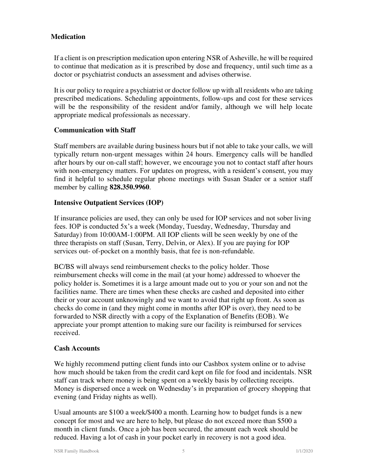## **Medication**

If a client is on prescription medication upon entering NSR of Asheville, he will be required to continue that medication as it is prescribed by dose and frequency, until such time as a doctor or psychiatrist conducts an assessment and advises otherwise.

It is our policy to require a psychiatrist or doctor follow up with all residents who are taking prescribed medications. Scheduling appointments, follow-ups and cost for these services will be the responsibility of the resident and/or family, although we will help locate appropriate medical professionals as necessary.

## **Communication with Staff**

Staff members are available during business hours but if not able to take your calls, we will typically return non-urgent messages within 24 hours. Emergency calls will be handled after hours by our on-call staff; however, we encourage you not to contact staff after hours with non-emergency matters. For updates on progress, with a resident's consent, you may find it helpful to schedule regular phone meetings with Susan Stader or a senior staff member by calling **828.350.9960**.

## **Intensive Outpatient Services (IOP)**

If insurance policies are used, they can only be used for IOP services and not sober living fees. IOP is conducted 5x's a week (Monday, Tuesday, Wednesday, Thursday and Saturday) from 10:00AM-1:00PM. All IOP clients will be seen weekly by one of the three therapists on staff (Susan, Terry, Delvin, or Alex). If you are paying for IOP services out- of-pocket on a monthly basis, that fee is non-refundable.

BC/BS will always send reimbursement checks to the policy holder. Those reimbursement checks will come in the mail (at your home) addressed to whoever the policy holder is. Sometimes it is a large amount made out to you or your son and not the facilities name. There are times when these checks are cashed and deposited into either their or your account unknowingly and we want to avoid that right up front. As soon as checks do come in (and they might come in months after IOP is over), they need to be forwarded to NSR directly with a copy of the Explanation of Benefits (EOB). We appreciate your prompt attention to making sure our facility is reimbursed for services received.

#### **Cash Accounts**

We highly recommend putting client funds into our Cashbox system online or to advise how much should be taken from the credit card kept on file for food and incidentals. NSR staff can track where money is being spent on a weekly basis by collecting receipts. Money is dispersed once a week on Wednesday's in preparation of grocery shopping that evening (and Friday nights as well).

Usual amounts are \$100 a week/\$400 a month. Learning how to budget funds is a new concept for most and we are here to help, but please do not exceed more than \$500 a month in client funds. Once a job has been secured, the amount each week should be reduced. Having a lot of cash in your pocket early in recovery is not a good idea.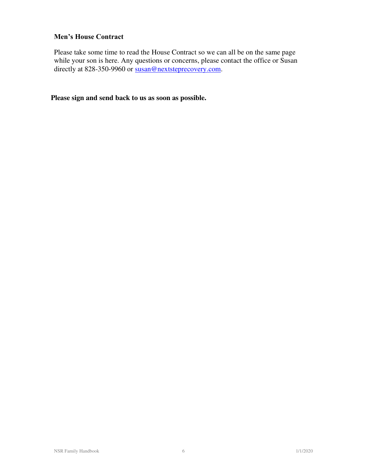# **Men's House Contract**

Please take some time to read the House Contract so we can all be on the same page while your son is here. Any questions or concerns, please contact the office or Susan directly at 828-350-9960 or susan@nextsteprecovery.com.

**Please sign and send back to us as soon as possible.**